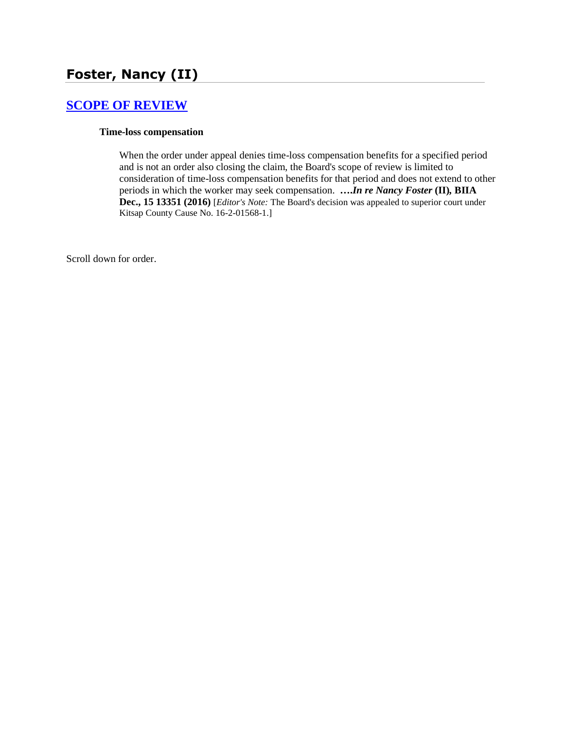# **Foster, Nancy (II)**

# **[SCOPE OF REVIEW](http://www.biia.wa.gov/SDSubjectIndex.html#SCOPE_OF_REVIEW)**

#### **Time-loss compensation**

When the order under appeal denies time-loss compensation benefits for a specified period and is not an order also closing the claim, the Board's scope of review is limited to consideration of time-loss compensation benefits for that period and does not extend to other periods in which the worker may seek compensation. **….***In re Nancy Foster* **(II)***,* **BIIA Dec., 15 13351 (2016)** [*Editor's Note:* The Board's decision was appealed to superior court under Kitsap County Cause No. 16-2-01568-1.]

Scroll down for order.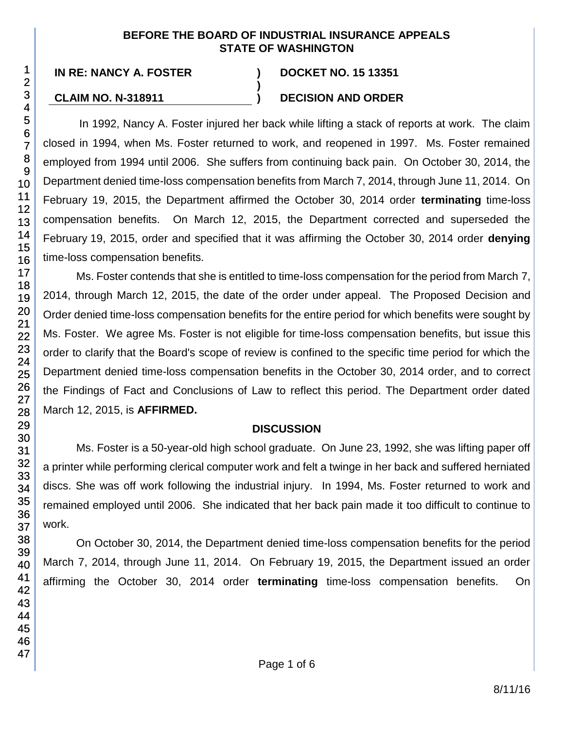#### **BEFORE THE BOARD OF INDUSTRIAL INSURANCE APPEALS STATE OF WASHINGTON**

**)**

# **CLAIM NO. N-318911 ) DECISION AND ORDER**

In 1992, Nancy A. Foster injured her back while lifting a stack of reports at work. The claim closed in 1994, when Ms. Foster returned to work, and reopened in 1997. Ms. Foster remained employed from 1994 until 2006. She suffers from continuing back pain. On October 30, 2014, the Department denied time-loss compensation benefits from March 7, 2014, through June 11, 2014. On February 19, 2015, the Department affirmed the October 30, 2014 order **terminating** time-loss compensation benefits. On March 12, 2015, the Department corrected and superseded the February 19, 2015, order and specified that it was affirming the October 30, 2014 order **denying** time-loss compensation benefits.

Ms. Foster contends that she is entitled to time-loss compensation for the period from March 7, 2014, through March 12, 2015, the date of the order under appeal. The Proposed Decision and Order denied time-loss compensation benefits for the entire period for which benefits were sought by Ms. Foster. We agree Ms. Foster is not eligible for time-loss compensation benefits, but issue this order to clarify that the Board's scope of review is confined to the specific time period for which the Department denied time-loss compensation benefits in the October 30, 2014 order, and to correct the Findings of Fact and Conclusions of Law to reflect this period. The Department order dated March 12, 2015, is **AFFIRMED.**

# **DISCUSSION**

Ms. Foster is a 50-year-old high school graduate. On June 23, 1992, she was lifting paper off a printer while performing clerical computer work and felt a twinge in her back and suffered herniated discs. She was off work following the industrial injury. In 1994, Ms. Foster returned to work and remained employed until 2006. She indicated that her back pain made it too difficult to continue to work.

On October 30, 2014, the Department denied time-loss compensation benefits for the period March 7, 2014, through June 11, 2014. On February 19, 2015, the Department issued an order affirming the October 30, 2014 order **terminating** time-loss compensation benefits. On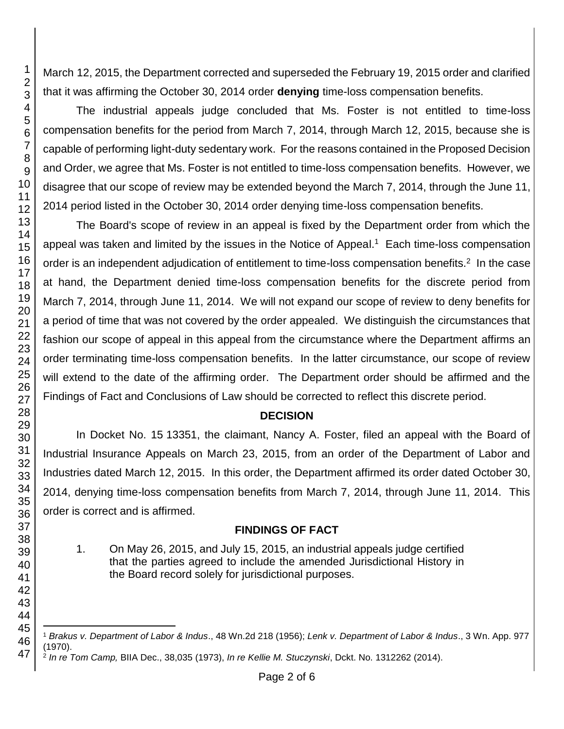March 12, 2015, the Department corrected and superseded the February 19, 2015 order and clarified that it was affirming the October 30, 2014 order **denying** time-loss compensation benefits.

The industrial appeals judge concluded that Ms. Foster is not entitled to time-loss compensation benefits for the period from March 7, 2014, through March 12, 2015, because she is capable of performing light-duty sedentary work. For the reasons contained in the Proposed Decision and Order, we agree that Ms. Foster is not entitled to time-loss compensation benefits. However, we disagree that our scope of review may be extended beyond the March 7, 2014, through the June 11, 2014 period listed in the October 30, 2014 order denying time-loss compensation benefits.

The Board's scope of review in an appeal is fixed by the Department order from which the appeal was taken and limited by the issues in the Notice of Appeal.<sup>1</sup> Each time-loss compensation order is an independent adjudication of entitlement to time-loss compensation benefits.<sup>2</sup> In the case at hand, the Department denied time-loss compensation benefits for the discrete period from March 7, 2014, through June 11, 2014. We will not expand our scope of review to deny benefits for a period of time that was not covered by the order appealed. We distinguish the circumstances that fashion our scope of appeal in this appeal from the circumstance where the Department affirms an order terminating time-loss compensation benefits. In the latter circumstance, our scope of review will extend to the date of the affirming order. The Department order should be affirmed and the Findings of Fact and Conclusions of Law should be corrected to reflect this discrete period.

# **DECISION**

In Docket No. 15 13351, the claimant, Nancy A. Foster, filed an appeal with the Board of Industrial Insurance Appeals on March 23, 2015, from an order of the Department of Labor and Industries dated March 12, 2015. In this order, the Department affirmed its order dated October 30, 2014, denying time-loss compensation benefits from March 7, 2014, through June 11, 2014. This order is correct and is affirmed.

# **FINDINGS OF FACT**

1. On May 26, 2015, and July 15, 2015, an industrial appeals judge certified that the parties agreed to include the amended Jurisdictional History in the Board record solely for jurisdictional purposes.

l *Brakus v. Department of Labor & Indus*., 48 Wn.2d 218 (1956); *Lenk v. Department of Labor & Indus*., 3 Wn. App. 977 (1970).

*In re Tom Camp,* BIIA Dec., 38,035 (1973), *In re Kellie M. Stuczynski*, Dckt. No. 1312262 (2014).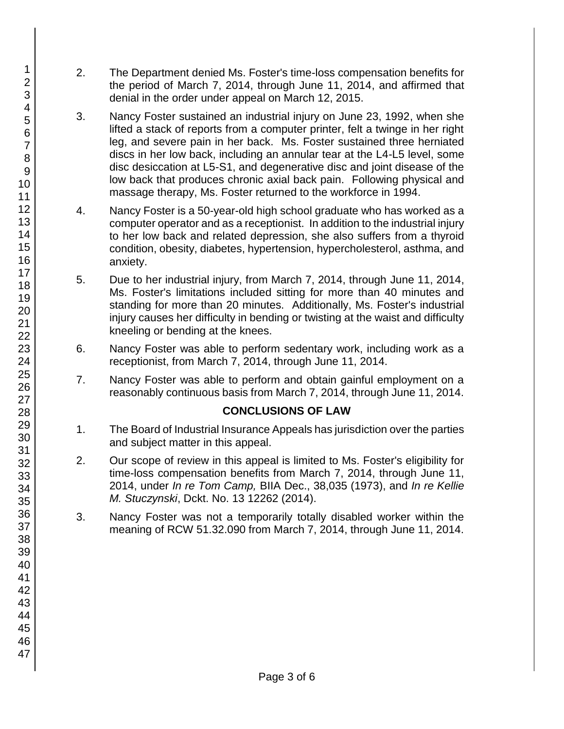- 2. The Department denied Ms. Foster's time-loss compensation benefits for the period of March 7, 2014, through June 11, 2014, and affirmed that denial in the order under appeal on March 12, 2015.
- 3. Nancy Foster sustained an industrial injury on June 23, 1992, when she lifted a stack of reports from a computer printer, felt a twinge in her right leg, and severe pain in her back. Ms. Foster sustained three herniated discs in her low back, including an annular tear at the L4-L5 level, some disc desiccation at L5-S1, and degenerative disc and joint disease of the low back that produces chronic axial back pain. Following physical and massage therapy, Ms. Foster returned to the workforce in 1994.
- 4. Nancy Foster is a 50-year-old high school graduate who has worked as a computer operator and as a receptionist. In addition to the industrial injury to her low back and related depression, she also suffers from a thyroid condition, obesity, diabetes, hypertension, hypercholesterol, asthma, and anxiety.
- 5. Due to her industrial injury, from March 7, 2014, through June 11, 2014, Ms. Foster's limitations included sitting for more than 40 minutes and standing for more than 20 minutes. Additionally, Ms. Foster's industrial injury causes her difficulty in bending or twisting at the waist and difficulty kneeling or bending at the knees.
- 6. Nancy Foster was able to perform sedentary work, including work as a receptionist, from March 7, 2014, through June 11, 2014.
- 7. Nancy Foster was able to perform and obtain gainful employment on a reasonably continuous basis from March 7, 2014, through June 11, 2014.

# **CONCLUSIONS OF LAW**

- 1. The Board of Industrial Insurance Appeals has jurisdiction over the parties and subject matter in this appeal.
- 2. Our scope of review in this appeal is limited to Ms. Foster's eligibility for time-loss compensation benefits from March 7, 2014, through June 11, 2014, under *In re Tom Camp,* BIIA Dec., 38,035 (1973), and *In re Kellie M. Stuczynski*, Dckt. No. 13 12262 (2014).
- 3. Nancy Foster was not a temporarily totally disabled worker within the meaning of RCW 51.32.090 from March 7, 2014, through June 11, 2014.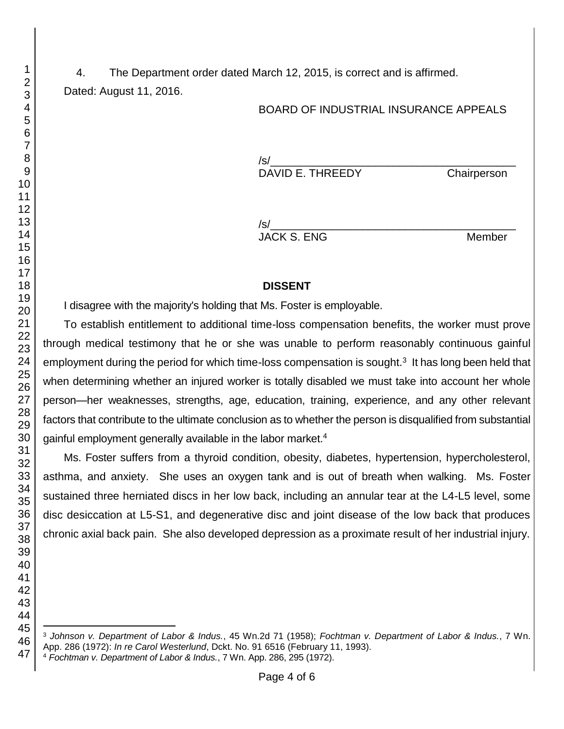4. The Department order dated March 12, 2015, is correct and is affirmed. Dated: August 11, 2016.

#### BOARD OF INDUSTRIAL INSURANCE APPEALS

 $\sqrt{s}$ / DAVID E. THREEDY Chairperson

 $/\mathsf{s}/\mathsf{s}$ JACK S. ENG Member

#### **DISSENT**

I disagree with the majority's holding that Ms. Foster is employable.

To establish entitlement to additional time-loss compensation benefits, the worker must prove through medical testimony that he or she was unable to perform reasonably continuous gainful employment during the period for which time-loss compensation is sought. $3$  It has long been held that when determining whether an injured worker is totally disabled we must take into account her whole person—her weaknesses, strengths, age, education, training, experience, and any other relevant factors that contribute to the ultimate conclusion as to whether the person is disqualified from substantial gainful employment generally available in the labor market.<sup>4</sup>

Ms. Foster suffers from a thyroid condition, obesity, diabetes, hypertension, hypercholesterol, asthma, and anxiety. She uses an oxygen tank and is out of breath when walking. Ms. Foster sustained three herniated discs in her low back, including an annular tear at the L4-L5 level, some disc desiccation at L5-S1, and degenerative disc and joint disease of the low back that produces chronic axial back pain. She also developed depression as a proximate result of her industrial injury.

l *Johnson v. Department of Labor & Indus.*, 45 Wn.2d 71 (1958); *Fochtman v. Department of Labor & Indus.*, 7 Wn. App. 286 (1972): *In re Carol Westerlund*, Dckt. No. 91 6516 (February 11, 1993). *Fochtman v. Department of Labor & Indus.*, 7 Wn. App. 286, 295 (1972).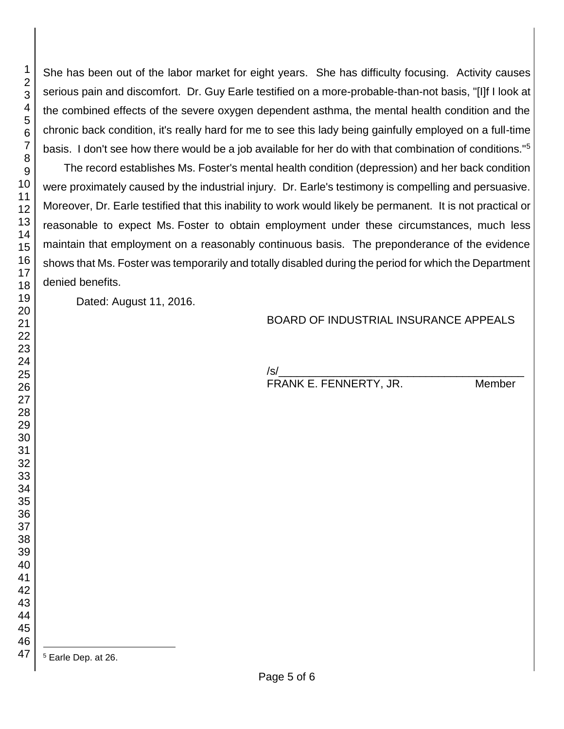She has been out of the labor market for eight years. She has difficulty focusing. Activity causes serious pain and discomfort. Dr. Guy Earle testified on a more-probable-than-not basis, "[I]f I look at the combined effects of the severe oxygen dependent asthma, the mental health condition and the chronic back condition, it's really hard for me to see this lady being gainfully employed on a full-time basis. I don't see how there would be a job available for her do with that combination of conditions."<sup>5</sup>

The record establishes Ms. Foster's mental health condition (depression) and her back condition were proximately caused by the industrial injury. Dr. Earle's testimony is compelling and persuasive. Moreover, Dr. Earle testified that this inability to work would likely be permanent. It is not practical or reasonable to expect Ms. Foster to obtain employment under these circumstances, much less maintain that employment on a reasonably continuous basis. The preponderance of the evidence shows that Ms. Foster was temporarily and totally disabled during the period for which the Department denied benefits.

Dated: August 11, 2016.

# BOARD OF INDUSTRIAL INSURANCE APPEALS

/s/\_\_\_\_\_\_\_\_\_\_\_\_\_\_\_\_\_\_\_\_\_\_\_\_\_\_\_\_\_\_\_\_\_\_\_\_\_\_\_\_

FRANK E. FENNERTY, JR. Member

l Earle Dep. at 26.